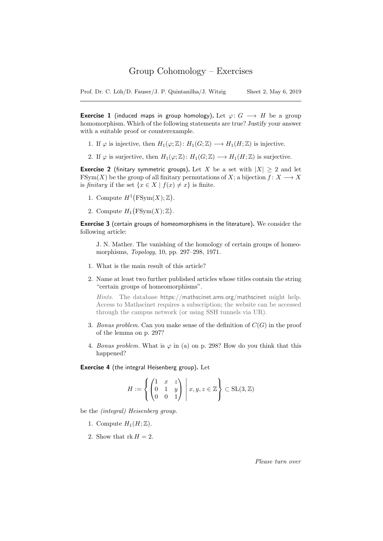Prof. Dr. C. Löh/D. Fauser/J. P. Quintanilha/J. Witzig Sheet 2, May 6, 2019

**Exercise 1** (induced maps in group homology). Let  $\varphi: G \longrightarrow H$  be a group homomorphism. Which of the following statements are true? Justify your answer with a suitable proof or counterexample.

- 1. If  $\varphi$  is injective, then  $H_1(\varphi;\mathbb{Z}): H_1(G;\mathbb{Z}) \longrightarrow H_1(H;\mathbb{Z})$  is injective.
- 2. If  $\varphi$  is surjective, then  $H_1(\varphi; \mathbb{Z}) : H_1(G; \mathbb{Z}) \longrightarrow H_1(H; \mathbb{Z})$  is surjective.

**Exercise 2** (finitary symmetric groups). Let X be a set with  $|X| > 2$  and let FSym(X) be the group of all finitary permutations of X; a bijection  $f: X \longrightarrow X$ is finitary if the set  $\{x \in X \mid f(x) \neq x\}$  is finite.

- 1. Compute  $H^1(FSym(X); \mathbb{Z})$ .
- 2. Compute  $H_1(FSym(X);\mathbb{Z})$ .

Exercise 3 (certain groups of homeomorphisms in the literature). We consider the following article:

J. N. Mather. The vanishing of the homology of certain groups of homeomorphisms, Topology, 10, pp. 297–298, 1971.

- 1. What is the main result of this article?
- 2. Name at least two further published articles whose titles contain the string "certain groups of homeomorphisms".

Hints. The database https://mathscinet.ams.org/mathscinet might help. Access to Mathscinet requires a subscription; the website can be accessed through the campus network (or using SSH tunnels via UR).

- 3. Bonus problem. Can you make sense of the definition of  $C(G)$  in the proof of the lemma on p. 297?
- 4. Bonus problem. What is  $\varphi$  in (a) on p. 298? How do you think that this happened?

Exercise 4 (the integral Heisenberg group). Let

$$
H := \left\{ \begin{pmatrix} 1 & x & z \\ 0 & 1 & y \\ 0 & 0 & 1 \end{pmatrix} \middle| x, y, z \in \mathbb{Z} \right\} \subset SL(3, \mathbb{Z})
$$

be the (integral) Heisenberg group.

- 1. Compute  $H_1(H; \mathbb{Z})$ .
- 2. Show that  $rk H = 2$ .

Please turn over